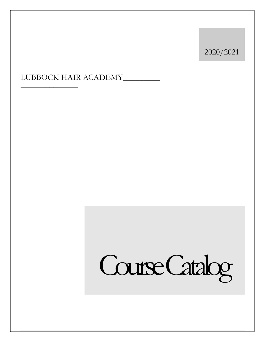2020/2021

LUBBOCK HAIR ACADEMY\_\_\_\_\_\_\_\_\_  $\mathcal{L}_\text{max}$ 

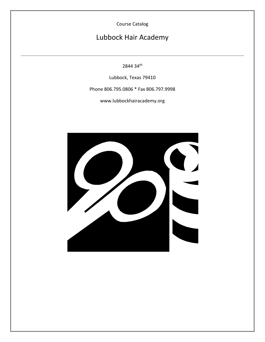Course Catalog

## Lubbock Hair Academy

2844 34th

Lubbock, Texas 79410

Phone 806.795.0806 \* Fax 806.797.9998

www.lubbockhairacademy.org

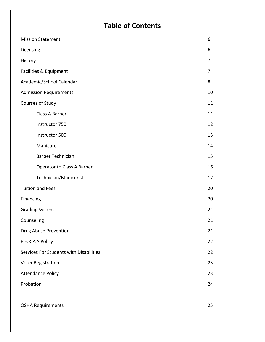# **Table of Contents**

| <b>Mission Statement</b>                | 6  |
|-----------------------------------------|----|
| Licensing                               | 6  |
| History                                 | 7  |
| Facilities & Equipment                  | 7  |
| Academic/School Calendar                | 8  |
| <b>Admission Requirements</b>           | 10 |
| Courses of Study                        | 11 |
| Class A Barber                          | 11 |
| Instructor 750                          | 12 |
| Instructor 500                          | 13 |
| Manicure                                | 14 |
| <b>Barber Technician</b>                | 15 |
| Operator to Class A Barber              | 16 |
| Technician/Manicurist                   | 17 |
| <b>Tuition and Fees</b>                 | 20 |
| Financing                               | 20 |
| <b>Grading System</b>                   | 21 |
| Counseling                              | 21 |
| Drug Abuse Prevention                   | 21 |
| F.E.R.P.A Policy                        | 22 |
| Services For Students with Disabilities | 22 |
| <b>Voter Registration</b>               | 23 |
| <b>Attendance Policy</b>                | 23 |
| Probation                               | 24 |
|                                         |    |
| <b>OSHA Requirements</b>                | 25 |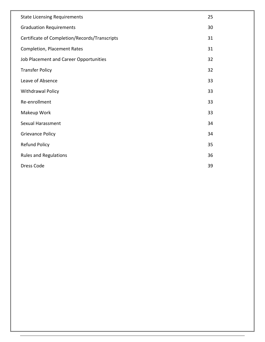| <b>State Licensing Requirements</b>           | 25 |
|-----------------------------------------------|----|
| <b>Graduation Requirements</b>                | 30 |
| Certificate of Completion/Records/Transcripts | 31 |
| <b>Completion, Placement Rates</b>            | 31 |
| Job Placement and Career Opportunities        | 32 |
| <b>Transfer Policy</b>                        | 32 |
| Leave of Absence                              | 33 |
| <b>Withdrawal Policy</b>                      | 33 |
| Re-enrollment                                 | 33 |
| Makeup Work                                   | 33 |
| Sexual Harassment                             | 34 |
| <b>Grievance Policy</b>                       | 34 |
| <b>Refund Policy</b>                          | 35 |
| <b>Rules and Regulations</b>                  | 36 |
| Dress Code                                    | 39 |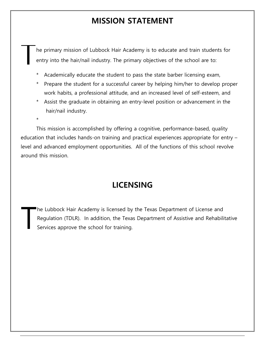## **MISSION STATEMENT**

he primary mission of Lubbock Hair Academy is to educate and train students for entry into the hair/nail industry. The primary objectives of the school are to: T

- Academically educate the student to pass the state barber licensing exam,
- Prepare the student for a successful career by helping him/her to develop proper work habits, a professional attitude, and an increased level of self-esteem, and
- \* Assist the graduate in obtaining an entry-level position or advancement in the hair/nail industry.

\*

This mission is accomplished by offering a cognitive, performance-based, quality education that includes hands-on training and practical experiences appropriate for entry – level and advanced employment opportunities. All of the functions of this school revolve around this mission.

## **LICENSING**

he Lubbock Hair Academy is licensed by the Texas Department of License and Regulation (TDLR). In addition, the Texas Department of Assistive and Rehabilitative Services approve the school for training. T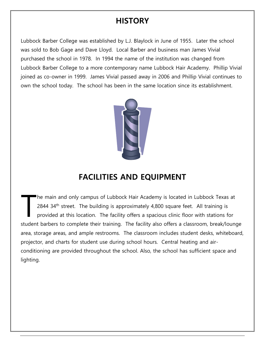## **HISTORY**

Lubbock Barber College was established by L.J. Blaylock in June of 1955. Later the school was sold to Bob Gage and Dave Lloyd. Local Barber and business man James Vivial purchased the school in 1978. In 1994 the name of the institution was changed from Lubbock Barber College to a more contemporary name Lubbock Hair Academy. Phillip Vivial joined as co-owner in 1999. James Vivial passed away in 2006 and Phillip Vivial continues to own the school today. The school has been in the same location since its establishment.



# **FACILITIES AND EQUIPMENT**

he main and only campus of Lubbock Hair Academy is located in Lubbock Texas at 2844 34<sup>th</sup> street. The building is approximately 4,800 square feet. All training is provided at this location. The facility offers a spacious clinic floor with stations for student barbers to complete their training. The facility also offers a classroom, break/lounge area, storage areas, and ample restrooms. The classroom includes student desks, whiteboard, projector, and charts for student use during school hours. Central heating and airconditioning are provided throughout the school. Also, the school has sufficient space and lighting. T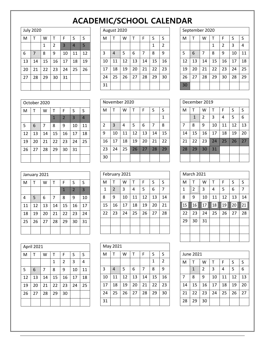# **ACADEMIC/SCHOOL CALENDAR**

## July 2020

| <b>July 2020</b> |    |    |                |    |    |    |  |
|------------------|----|----|----------------|----|----|----|--|
| M                | т  | W  | т              | F  | S  | S  |  |
|                  |    | 1  | $\overline{2}$ | 3  | 4  | 5  |  |
| 6                | 7  | 8  | 9              | 10 | 11 | 12 |  |
| 13               | 14 | 15 | 16             | 17 | 18 | 19 |  |
| 20               | 21 | 22 | 23             | 24 | 25 | 26 |  |
| 27               | 28 | 29 | 30             | 31 |    |    |  |
|                  |    |    |                |    |    |    |  |

### August 2020

| M  |    | W  | T  | F  | S  | S  |
|----|----|----|----|----|----|----|
|    |    |    |    |    | 1  | 2  |
| 3  | 4  | 5  | 6  | 7  | 8  | 9  |
| 10 | 11 | 12 | 13 | 14 | 15 | 16 |
| 17 | 18 | 19 | 20 | 21 | 22 | 23 |
| 24 | 25 | 26 | 27 | 28 | 29 | 30 |
| 31 |    |    |    |    |    |    |

## September 2020

 $\mathbf{I}$ 

| M  |    | W  | Т  | F              | S  | S  |
|----|----|----|----|----------------|----|----|
|    |    |    | 1  | $\overline{2}$ | 3  | 4  |
| 5  | 6  | 7  | 8  | 9              | 10 | 11 |
| 12 | 13 | 14 | 15 | 16             | 17 | 18 |
| 19 | 20 | 21 | 22 | 23             | 24 | 25 |
| 26 | 27 | 28 | 29 | 30             | 28 | 29 |
| 30 |    |    |    |                |    |    |

|    | October 2020 |    |              |                |                |    |  |                |  |  |
|----|--------------|----|--------------|----------------|----------------|----|--|----------------|--|--|
| M  |              | W  | т            | F              | S              | S  |  | M              |  |  |
|    |              |    | $\mathbf{1}$ | $\overline{2}$ | $\overline{3}$ | 4  |  |                |  |  |
| 5  | 6            | 7  | 8            | 9              | 10             | 11 |  | $\overline{2}$ |  |  |
| 12 | 13           | 14 | 15           | 16             | 17             | 18 |  | 9              |  |  |
| 19 | 20           | 21 | 22           | 23             | 24             | 25 |  | 16             |  |  |
| 26 | 27           | 28 | 29           | 30             | 31             |    |  | 23             |  |  |
|    |              |    |              |                |                |    |  | 30             |  |  |

| November 2020  |    |    |    |    |    |              |  |
|----------------|----|----|----|----|----|--------------|--|
| M              | T  | W  | т  | F  | S  | S            |  |
|                |    |    |    |    |    | $\mathbf{1}$ |  |
| $\overline{2}$ | 3  | 4  | 5  | 6  | 7  | 8            |  |
| 9              | 10 | 11 | 12 | 13 | 14 | 15           |  |
| 16             | 17 | 18 | 19 | 20 | 21 | 22           |  |
| 23             | 24 | 25 | 26 | 27 | 28 | 29           |  |
| 30             |    |    |    |    |    |              |  |

| December 2019  |              |    |    |    |    |    |  |
|----------------|--------------|----|----|----|----|----|--|
| M              | т            | W  | т  | F  | S  | S  |  |
|                | $\mathbf{1}$ | 2  | 3  | 4  | 5  | 6  |  |
| $\overline{7}$ | 8            | 9  | 10 | 11 | 12 | 13 |  |
| 14             | 15           | 16 | 17 | 18 | 19 | 20 |  |
| 21             | 22           | 23 | 24 | 25 | 26 | 27 |  |
| 28             | 29           | 30 | 31 |    |    |    |  |
|                |              |    |    |    |    |    |  |

|    | January 2021 |    |    |              |                |    | Febr |  |
|----|--------------|----|----|--------------|----------------|----|------|--|
| M  |              | W  | т  | F            | S              | S  | M    |  |
|    |              |    |    | $\mathbf{1}$ | $\overline{2}$ | 3  | 1    |  |
| 4  | 5            | 6  | 7  | 8            | 9              | 10 | 8    |  |
| 11 | 12           | 13 | 14 | 15           | 16             | 17 | 15   |  |
| 18 | 19           | 20 | 21 | 22           | 23             | 24 | 22   |  |
| 25 | 26           | 27 | 28 | 29           | 30             | 31 |      |  |
|    |              |    |    |              |                |    |      |  |

| February 2021 |                |    |    |    |    |    |  |
|---------------|----------------|----|----|----|----|----|--|
| M             | т              | W  | т  | F  | S  | S  |  |
| $\mathbf{1}$  | $\overline{2}$ | 3  | 4  | 5  | 6  |    |  |
| 8             | 9              | 10 | 11 | 12 | 13 | 14 |  |
| 15            | 16             | 17 | 18 | 19 | 20 | 21 |  |
| 22            | 23             | 24 | 25 | 26 | 27 | 28 |  |
|               |                |    |    |    |    |    |  |
|               |                |    |    |    |    |    |  |

| April 2021 |    |    |    |                |    |    |  |
|------------|----|----|----|----------------|----|----|--|
| M          |    | W  | т  | F              | S  | S  |  |
|            |    |    | 1  | $\overline{2}$ | 3  | 4  |  |
| 5          | 6  | 7  | 8  | 9              | 10 | 11 |  |
| 12         | 13 | 14 | 15 | 16             | 17 | 18 |  |
| 19         | 20 | 21 | 22 | 23             | 24 | 25 |  |
| 26         | 27 | 28 | 29 | 30             |    |    |  |
|            |    |    |    |                |    |    |  |

| May 2021 |    |    |    |    |    |    |  |
|----------|----|----|----|----|----|----|--|
| M        | т  | W  | т  | F  | S  | S  |  |
|          |    |    |    |    | 1  | 2  |  |
| 3        | 4  | 5  | 6  | 7  | 8  | 9  |  |
| 10       | 11 | 12 | 13 | 14 | 15 | 16 |  |
| 17       | 18 | 19 | 20 | 21 | 22 | 23 |  |
| 24       | 25 | 26 | 27 | 28 | 29 | 30 |  |
| 31       |    |    |    |    |    |    |  |

| <b>March 2021</b> |                |    |    |    |    |    |
|-------------------|----------------|----|----|----|----|----|
| M                 | Т              | W  | T  | F  | S  | S  |
| $\mathbf{1}$      | $\overline{2}$ | 3  | 4  | 5  | 6  | 7  |
| 8                 | 9              | 10 | 11 | 12 | 13 | 14 |
| 15                | 16             | 17 | 18 | 19 | 20 | 21 |
| 22                | 23             | 24 | 25 | 26 | 27 | 28 |
| 29                | 30             | 31 |    |    |    |    |
|                   |                |    |    |    |    |    |
|                   |                |    |    |    |    |    |

| June 2021 |              |    |    |    |    |    |
|-----------|--------------|----|----|----|----|----|
| M         | $\mathsf{T}$ | W  | т  | F  | S  | S  |
|           | 1            | 2  | 3  | 4  | 5  | 6  |
| 7         | 8            | 9  | 10 | 11 | 12 | 13 |
| 14        | 15           | 16 | 17 | 18 | 19 | 20 |
| 21        | 22           | 23 | 24 | 25 | 26 | 27 |
| 28        | 29           | 30 |    |    |    |    |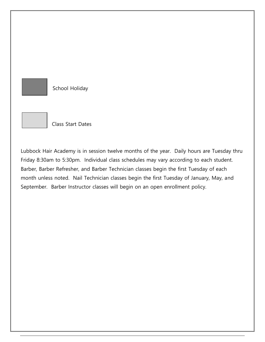

School Holiday



Class Start Dates

Lubbock Hair Academy is in session twelve months of the year. Daily hours are Tuesday thru Friday 8:30am to 5:30pm. Individual class schedules may vary according to each student. Barber, Barber Refresher, and Barber Technician classes begin the first Tuesday of each month unless noted. Nail Technician classes begin the first Tuesday of January, May, and September. Barber Instructor classes will begin on an open enrollment policy.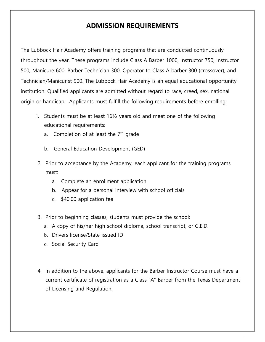## **ADMISSION REQUIREMENTS**

The Lubbock Hair Academy offers training programs that are conducted continuously throughout the year. These programs include Class A Barber 1000, Instructor 750, Instructor 500, Manicure 600, Barber Technician 300, Operator to Class A barber 300 (crossover), and Technician/Manicurist 900. The Lubbock Hair Academy is an equal educational opportunity institution. Qualified applicants are admitted without regard to race, creed, sex, national origin or handicap. Applicants must fulfill the following requirements before enrolling:

- l. Students must be at least 16½ years old and meet one of the following educational requirements:
	- a. Completion of at least the  $7<sup>th</sup>$  grade
	- b. General Education Development (GED)
- 2. Prior to acceptance by the Academy, each applicant for the training programs must:
	- a. Complete an enrollment application
	- b. Appear for a personal interview with school officials
	- c. \$40.00 application fee
- 3. Prior to beginning classes, students must provide the school:
	- a. A copy of his/her high school diploma, school transcript, or G.E.D.
	- b. Drivers license/State issued ID
	- c. Social Security Card
- 4. In addition to the above, applicants for the Barber Instructor Course must have a current certificate of registration as a Class "A" Barber from the Texas Department of Licensing and Regulation.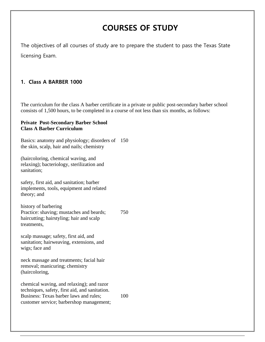# **COURSES OF STUDY**

The objectives of all courses of study are to prepare the student to pass the Texas State licensing Exam.

### **1. Class A BARBER 1000**

The curriculum for the class A barber certificate in a private or public post-secondary barber school consists of 1,500 hours, to be completed in a course of not less than six months, as follows:

#### **Private Post-Secondary Barber School Class A Barber Curriculum**

Basics: anatomy and physiology; disorders of 150 the skin, scalp, hair and nails; chemistry

(haircoloring, chemical waving, and relaxing); bacteriology, sterilization and sanitation;

safety, first aid, and sanitation; barber implements, tools, equipment and related theory; and

history of barbering Practice: shaving; mustaches and beards; haircutting; hairstyling; hair and scalp treatments, 750

scalp massage; safety, first aid, and sanitation; hairweaving, extensions, and wigs; face and

neck massage and treatments; facial hair removal; manicuring; chemistry (haircoloring,

chemical waving, and relaxing); and razor techniques, safety, first aid, and sanitation. Business: Texas barber laws and rules; customer service; barbershop management; 100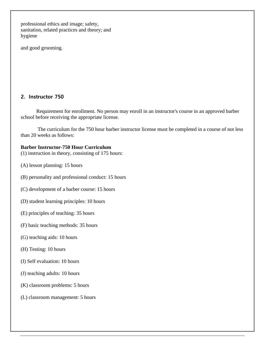professional ethics and image; safety, sanitation, related practices and theory; and hygiene

and good grooming.

### **2. Instructor 750**

Requirement for enrollment. No person may enroll in an instructor's course in an approved barber school before receiving the appropriate license.

The curriculum for the 750 hour barber instructor license must be completed in a course of not less than 20 weeks as follows:

### **Barber Instructor-750 Hour Curriculum**

(1) instruction in theory, consisting of 175 hours:

- (A) lesson planning: 15 hours
- (B) personality and professional conduct: 15 hours
- (C) development of a barber course: 15 hours
- (D) student learning principles: 10 hours
- (E) principles of teaching: 35 hours
- (F) basic teaching methods: 35 hours
- (G) teaching aids: 10 hours
- (H) Testing: 10 hours
- (I) Self evaluation: 10 hours
- (J) teaching adults: 10 hours
- (K) classroom problems: 5 hours
- (L) classroom management: 5 hours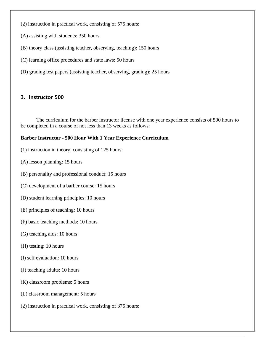- (2) instruction in practical work, consisting of 575 hours:
- (A) assisting with students: 350 hours
- (B) theory class (assisting teacher, observing, teaching): 150 hours
- (C) learning office procedures and state laws: 50 hours
- (D) grading test papers (assisting teacher, observing, grading): 25 hours

#### **3. Instructor 500**

The curriculum for the barber instructor license with one year experience consists of 500 hours to be completed in a course of not less than 13 weeks as follows:

#### **Barber Instructor - 500 Hour With 1 Year Experience Curriculum**

- (1) instruction in theory, consisting of 125 hours:
- (A) lesson planning: 15 hours
- (B) personality and professional conduct: 15 hours
- (C) development of a barber course: 15 hours
- (D) student learning principles: 10 hours
- (E) principles of teaching: 10 hours
- (F) basic teaching methods: 10 hours
- (G) teaching aids: 10 hours
- (H) testing: 10 hours
- (I) self evaluation: 10 hours
- (J) teaching adults: 10 hours
- (K) classroom problems: 5 hours
- (L) classroom management: 5 hours
- (2) instruction in practical work, consisting of 375 hours: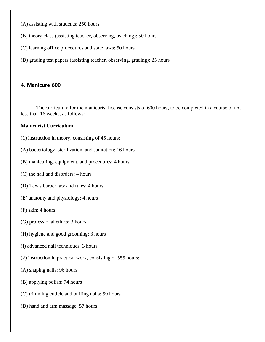- (A) assisting with students: 250 hours
- (B) theory class (assisting teacher, observing, teaching): 50 hours
- (C) learning office procedures and state laws: 50 hours
- (D) grading test papers (assisting teacher, observing, grading): 25 hours

#### **4. Manicure 600**

The curriculum for the manicurist license consists of 600 hours, to be completed in a course of not less than 16 weeks, as follows:

#### **Manicurist Curriculum**

- (1) instruction in theory, consisting of 45 hours:
- (A) bacteriology, sterilization, and sanitation: 16 hours
- (B) manicuring, equipment, and procedures: 4 hours
- (C) the nail and disorders: 4 hours
- (D) Texas barber law and rules: 4 hours
- (E) anatomy and physiology: 4 hours
- (F) skin: 4 hours
- (G) professional ethics: 3 hours
- (H) hygiene and good grooming: 3 hours
- (I) advanced nail techniques: 3 hours
- (2) instruction in practical work, consisting of 555 hours:
- (A) shaping nails: 96 hours
- (B) applying polish: 74 hours
- (C) trimming cuticle and buffing nails: 59 hours
- (D) hand and arm massage: 57 hours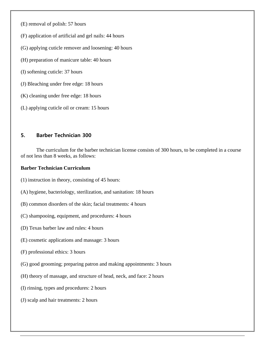- (E) removal of polish: 57 hours
- (F) application of artificial and gel nails: 44 hours
- (G) applying cuticle remover and loosening: 40 hours
- (H) preparation of manicure table: 40 hours
- (I) softening cuticle: 37 hours
- (J) Bleaching under free edge: 18 hours
- (K) cleaning under free edge: 18 hours
- (L) applying cuticle oil or cream: 15 hours

### **5. Barber Technician 300**

The curriculum for the barber technician license consists of 300 hours, to be completed in a course of not less than 8 weeks, as follows:

#### **Barber Technician Curriculum**

- (1) instruction in theory, consisting of 45 hours:
- (A) hygiene, bacteriology, sterilization, and sanitation: 18 hours
- (B) common disorders of the skin; facial treatments: 4 hours
- (C) shampooing, equipment, and procedures: 4 hours
- (D) Texas barber law and rules: 4 hours
- (E) cosmetic applications and massage: 3 hours
- (F) professional ethics: 3 hours
- (G) good grooming; preparing patron and making appointments: 3 hours
- (H) theory of massage, and structure of head, neck, and face: 2 hours
- (I) rinsing, types and procedures: 2 hours
- (J) scalp and hair treatments: 2 hours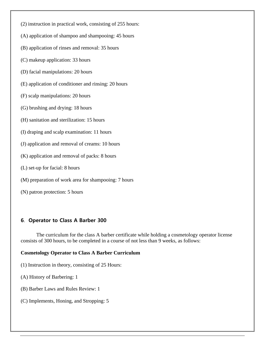- (2) instruction in practical work, consisting of 255 hours:
- (A) application of shampoo and shampooing: 45 hours
- (B) application of rinses and removal: 35 hours
- (C) makeup application: 33 hours
- (D) facial manipulations: 20 hours
- (E) application of conditioner and rinsing: 20 hours
- (F) scalp manipulations: 20 hours
- (G) brushing and drying: 18 hours
- (H) sanitation and sterilization: 15 hours
- (I) draping and scalp examination: 11 hours
- (J) application and removal of creams: 10 hours
- (K) application and removal of packs: 8 hours
- (L) set-up for facial: 8 hours
- (M) preparation of work area for shampooing: 7 hours
- (N) patron protection: 5 hours

### **6**. **Operator to Class A Barber 300**

The curriculum for the class A barber certificate while holding a cosmetology operator license consists of 300 hours, to be completed in a course of not less than 9 weeks, as follows:

### **Cosmetology Operator to Class A Barber Curriculum**

- (1) Instruction in theory, consisting of 25 Hours:
- (A) History of Barbering: 1
- (B) Barber Laws and Rules Review: 1
- (C) Implements, Honing, and Stropping: 5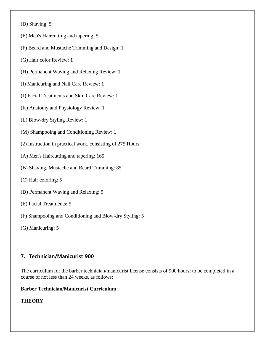(D) Shaving: 5

- (E) Men's Haircutting and tapering: 5
- (F) Beard and Mustache Trimming and Design: 1
- (G) Hair color Review: 1
- (H) Permanent Waving and Relaxing Review: 1
- (I) Manicuring and Nail Care Review: 1
- (J) Facial Treatments and Skin Care Review: 1
- (K) Anatomy and Physiology Review: 1
- (L) Blow-dry Styling Review: 1
- (M) Shampooing and Conditioning Review: 1
- (2) Instruction in practical work, consisting of 275 Hours:
- (A) Men's Haircutting and tapering: 165
- (B) Shaving, Mustache and Beard Trimming: 85
- (C) Hair coloring: 5
- (D) Permanent Waving and Relaxing: 5
- (E) Facial Treatments: 5
- (F) Shampooing and Conditioning and Blow-dry Styling: 5
- (G) Manicuring: 5

### **7. Technician/Manicurist 900**

The curriculum for the barber technician/manicurist license consists of 900 hours; to be completed in a course of not less than 24 weeks, as follows:

#### **Barber Technician/Manicurist Curriculum**

### **THEORY**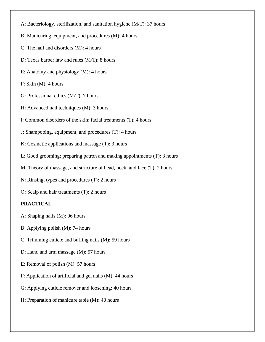- A: Bacteriology, sterilization, and sanitation hygiene (M/T): 37 hours
- B: Manicuring, equipment, and procedures (M): 4 hours
- C: The nail and disorders (M): 4 hours
- D: Texas barber law and rules (M/T): 8 hours
- E: Anatomy and physiology (M): 4 hours
- F: Skin (M): 4 hours
- G: Professional ethics (M/T): 7 hours
- H: Advanced nail techniques (M): 3 hours
- I: Common disorders of the skin; facial treatments (T): 4 hours
- J: Shampooing, equipment, and procedures (T): 4 hours
- K: Cosmetic applications and massage (T): 3 hours
- L: Good grooming; preparing patron and making appointments (T): 3 hours
- M: Theory of massage, and structure of head, neck, and face (T): 2 hours
- N: Rinsing, types and procedures (T): 2 hours
- O: Scalp and hair treatments (T): 2 hours

#### **PRACTICAL**

- A: Shaping nails (M): 96 hours
- B: Applying polish (M): 74 hours
- C: Trimming cuticle and buffing nails (M): 59 hours
- D: Hand and arm massage (M): 57 hours
- E: Removal of polish (M): 57 hours
- F: Application of artificial and gel nails (M): 44 hours
- G: Applying cuticle remover and loosening: 40 hours
- H: Preparation of manicure table (M): 40 hours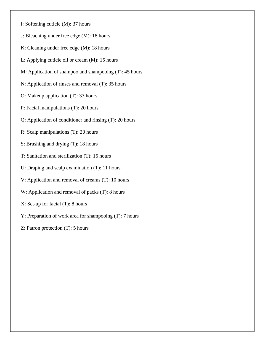- I: Softening cuticle (M): 37 hours
- J: Bleaching under free edge (M): 18 hours
- K: Cleaning under free edge (M): 18 hours
- L: Applying cuticle oil or cream (M): 15 hours
- M: Application of shampoo and shampooing (T): 45 hours
- N: Application of rinses and removal (T): 35 hours
- O: Makeup application (T): 33 hours
- P: Facial manipulations (T): 20 hours
- Q: Application of conditioner and rinsing (T): 20 hours
- R: Scalp manipulations (T): 20 hours
- S: Brushing and drying (T): 18 hours
- T: Sanitation and sterilization (T): 15 hours
- U: Draping and scalp examination (T): 11 hours
- V: Application and removal of creams (T): 10 hours
- W: Application and removal of packs (T): 8 hours
- X: Set-up for facial (T): 8 hours
- Y: Preparation of work area for shampooing (T): 7 hours
- Z: Patron protection (T): 5 hours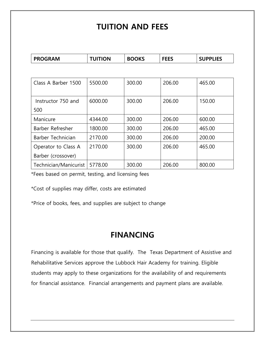## **TUITION AND FEES**

| <b>PROGRAM</b>            | <b>TUITION</b> | <b>BOOKS</b> | <b>FEES</b> | <b>SUPPLIES</b> |
|---------------------------|----------------|--------------|-------------|-----------------|
|                           |                |              |             |                 |
| Class A Barber 1500       | 5500.00        | 300.00       | 206.00      | 465.00          |
| Instructor 750 and<br>500 | 6000.00        | 300.00       | 206.00      | 150.00          |
| Manicure                  | 4344.00        | 300.00       | 206.00      | 600.00          |
| Barber Refresher          | 1800.00        | 300.00       | 206.00      | 465.00          |
| Barber Technician         | 2170.00        | 300.00       | 206.00      | 200.00          |
| Operator to Class A       | 2170.00        | 300.00       | 206.00      | 465.00          |
| Barber (crossover)        |                |              |             |                 |
| Technician/Manicurist     | 5778.00        | 300.00       | 206.00      | 800.00          |

\*Fees based on permit, testing, and licensing fees

\*Cost of supplies may differ, costs are estimated

\*Price of books, fees, and supplies are subject to change

## **FINANCING**

Financing is available for those that qualify. The Texas Department of Assistive and Rehabilitative Services approve the Lubbock Hair Academy for training. Eligible students may apply to these organizations for the availability of and requirements for financial assistance. Financial arrangements and payment plans are available.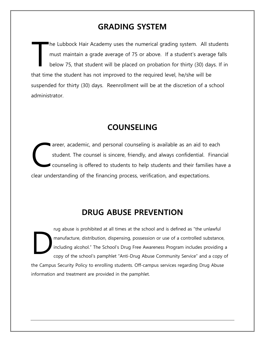## **GRADING SYSTEM**

he Lubbock Hair Academy uses the numerical grading system. All students must maintain a grade average of 75 or above. If a student's average falls below 75, that student will be placed on probation for thirty (30) days. If in that time the student has not improved to the required level, he/she will be suspended for thirty (30) days. Reenrollment will be at the discretion of a school administrator. T

## **COUNSELING**

areer, academic, and personal counseling is available as an aid to each student. The counsel is sincere, friendly, and always confidential. Financial counseling is offered to students to help students and their families have a clear understanding of the financing process, verification, and expectations. C

## **DRUG ABUSE PREVENTION**

rug abuse is prohibited at all times at the school and is defined as "the unlawful manufacture, distribution, dispensing, possession or use of a controlled substance, including alcohol." The School's Drug Free Awareness Program includes providing a copy of the school's pamphlet "Anti-Drug Abuse Community Service" and a copy of the Campus Security Policy to enrolling students. Off-campus services regarding Drug Abuse information and treatment are provided in the pamphlet. D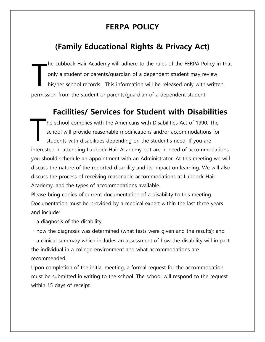# **FERPA POLICY**

# **(Family Educational Rights & Privacy Act)**

he Lubbock Hair Academy will adhere to the rules of the FERPA Policy in that only a student or parents/guardian of a dependent student may review his/her school records. This information will be released only with written permission from the student or parents/guardian of a dependent student. T

## **Facilities/ Services for Student with Disabilities**

he school complies with the Americans with Disabilities Act of 1990. The school will provide reasonable modifications and/or accommodations for students with disabilities depending on the student's need. If you are interested in attending Lubbock Hair Academy but are in need of accommodations, you should schedule an appointment with an Administrator. At this meeting we will discuss the nature of the reported disability and its impact on learning. We will also discuss the process of receiving reasonable accommodations at Lubbock Hair Academy, and the types of accommodations available. T

Please bring copies of current documentation of a disability to this meeting. Documentation must be provided by a medical expert within the last three years and include:

 $\cdot$  a diagnosis of the disability;

how the diagnosis was determined (what tests were given and the results); and

a clinical summary which includes an assessment of how the disability will impact the individual in a college environment and what accommodations are recommended.

Upon completion of the initial meeting, a formal request for the accommodation must be submitted in writing to the school. The school will respond to the request within 15 days of receipt.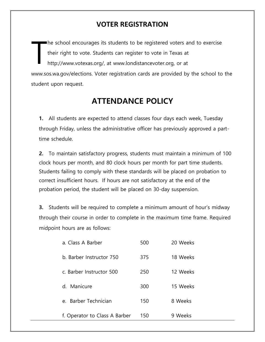## **VOTER REGISTRATION**

he school encourages its students to be registered voters and to exercise their right to vote. Students can register to vote in Texas at http://www.votexas.org/, at www.londistancevoter.org, or at www.sos.wa.gov/elections. Voter registration cards are provided by the school to the student upon request. T

## **ATTENDANCE POLICY**

**1.** All students are expected to attend classes four days each week, Tuesday through Friday, unless the administrative officer has previously approved a parttime schedule.

**2.** To maintain satisfactory progress, students must maintain a minimum of 100 clock hours per month, and 80 clock hours per month for part time students. Students failing to comply with these standards will be placed on probation to correct insufficient hours. If hours are not satisfactory at the end of the probation period, the student will be placed on 30-day suspension.

**3.** Students will be required to complete a minimum amount of hour's midway through their course in order to complete in the maximum time frame. Required midpoint hours are as follows:

| a. Class A Barber                 | 500 | 20 Weeks |  |
|-----------------------------------|-----|----------|--|
| b. Barber Instructor 750          | 375 | 18 Weeks |  |
| c. Barber Instructor 500          | 250 | 12 Weeks |  |
| d. Manicure                       | 300 | 15 Weeks |  |
| Barber Technician<br>$\mathsf{P}$ | 150 | 8 Weeks  |  |
| f. Operator to Class A Barber     | 150 | 9 Weeks  |  |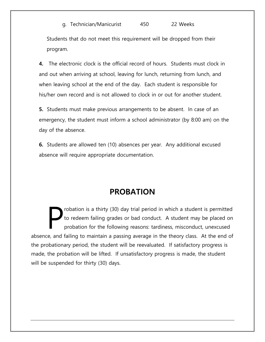### g. Technician/Manicurist 450 22 Weeks

Students that do not meet this requirement will be dropped from their program.

**4.** The electronic clock is the official record of hours. Students must clock in and out when arriving at school, leaving for lunch, returning from lunch, and when leaving school at the end of the day. Each student is responsible for his/her own record and is not allowed to clock in or out for another student.

**5.** Students must make previous arrangements to be absent. In case of an emergency, the student must inform a school administrator (by 8:00 am) on the day of the absence.

**6.** Students are allowed ten (10) absences per year. Any additional excused absence will require appropriate documentation.

## **PROBATION**

robation is a thirty (30) day trial period in which a student is permitted to redeem failing grades or bad conduct. A student may be placed on probation for the following reasons: tardiness, misconduct, unexcused absence, and failing to maintain a passing average in the theory class. At the end of the probationary period, the student will be reevaluated. If satisfactory progress is made, the probation will be lifted. If unsatisfactory progress is made, the student will be suspended for thirty (30) days. P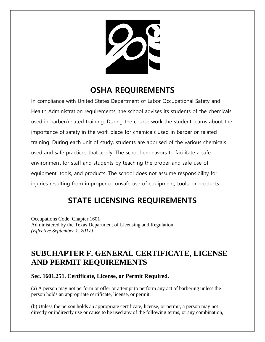# **OSHA REQUIREMENTS**

In compliance with United States Department of Labor Occupational Safety and Health Administration requirements, the school advises its students of the chemicals used in barber/related training. During the course work the student learns about the importance of safety in the work place for chemicals used in barber or related training. During each unit of study, students are apprised of the various chemicals used and safe practices that apply. The school endeavors to facilitate a safe environment for staff and students by teaching the proper and safe use of equipment, tools, and products. The school does not assume responsibility for injuries resulting from improper or unsafe use of equipment, tools, or products

# **STATE LICENSING REQUIREMENTS**

Occupations Code, Chapter 1601 Administered by the Texas Department of Licensing and Regulation *(Effective September 1, 2017)*

## **SUBCHAPTER F. GENERAL CERTIFICATE, LICENSE AND PERMIT REQUIREMENTS**

### **Sec. 1601.251. Certificate, License, or Permit Required.**

(a) A person may not perform or offer or attempt to perform any act of barbering unless the person holds an appropriate certificate, license, or permit.

(b) Unless the person holds an appropriate certificate, license, or permit, a person may not directly or indirectly use or cause to be used any of the following terms, or any combination,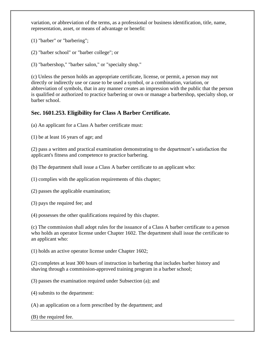variation, or abbreviation of the terms, as a professional or business identification, title, name, representation, asset, or means of advantage or benefit:

(1) "barber" or "barbering";

- (2) "barber school" or "barber college"; or
- (3) "barbershop," "barber salon," or "specialty shop."

(c) Unless the person holds an appropriate certificate, license, or permit, a person may not directly or indirectly use or cause to be used a symbol, or a combination, variation, or abbreviation of symbols, that in any manner creates an impression with the public that the person is qualified or authorized to practice barbering or own or manage a barbershop, specialty shop, or barber school.

### **Sec. 1601.253. Eligibility for Class A Barber Certificate.**

(a) An applicant for a Class A barber certificate must:

(1) be at least 16 years of age; and

(2) pass a written and practical examination demonstrating to the department's satisfaction the applicant's fitness and competence to practice barbering.

(b) The department shall issue a Class A barber certificate to an applicant who:

(1) complies with the application requirements of this chapter;

(2) passes the applicable examination;

(3) pays the required fee; and

(4) possesses the other qualifications required by this chapter.

(c) The commission shall adopt rules for the issuance of a Class A barber certificate to a person who holds an operator license under Chapter 1602. The department shall issue the certificate to an applicant who:

(1) holds an active operator license under Chapter 1602;

(2) completes at least 300 hours of instruction in barbering that includes barber history and shaving through a commission-approved training program in a barber school;

(3) passes the examination required under Subsection (a); and

(4) submits to the department:

(A) an application on a form prescribed by the department; and

(B) the required fee.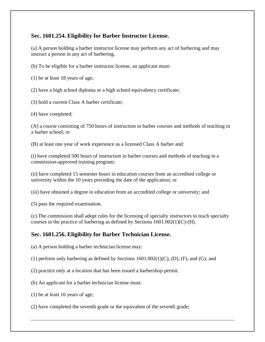### **Sec. 1601.254. Eligibility for Barber Instructor License.**

(a) A person holding a barber instructor license may perform any act of barbering and may instruct a person in any act of barbering.

(b) To be eligible for a barber instructor license, an applicant must:

(1) be at least 18 years of age;

(2) have a high school diploma or a high school equivalency certificate;

(3) hold a current Class A barber certificate;

(4) have completed:

(A) a course consisting of 750 hours of instruction in barber courses and methods of teaching in a barber school; or

(B) at least one year of work experience as a licensed Class A barber and:

(i) have completed 500 hours of instruction in barber courses and methods of teaching in a commission-approved training program;

(ii) have completed 15 semester hours in education courses from an accredited college or university within the 10 years preceding the date of the application; or

(iii) have obtained a degree in education from an accredited college or university; and

(5) pass the required examination.

(c) The commission shall adopt rules for the licensing of specialty instructors to teach specialty courses in the practice of barbering as defined by Sections 1601.002(1)(C)-(H).

### **Sec. 1601.256. Eligibility for Barber Technician License.**

(a) A person holding a barber technician license may:

(1) perform only barbering as defined by Sections 1601.002(1)(C), (D), (F), and (G); and

(2) practice only at a location that has been issued a barbershop permit.

(b) An applicant for a barber technician license must:

(1) be at least 16 years of age;

(2) have completed the seventh grade or the equivalent of the seventh grade;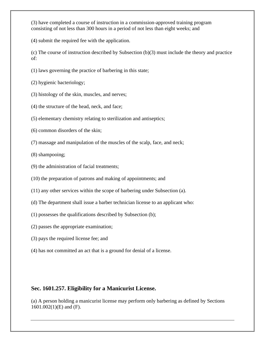(3) have completed a course of instruction in a commission-approved training program consisting of not less than 300 hours in a period of not less than eight weeks; and

(4) submit the required fee with the application.

(c) The course of instruction described by Subsection (b)(3) must include the theory and practice of:

- (1) laws governing the practice of barbering in this state;
- (2) hygienic bacteriology;
- (3) histology of the skin, muscles, and nerves;
- (4) the structure of the head, neck, and face;
- (5) elementary chemistry relating to sterilization and antiseptics;
- (6) common disorders of the skin;
- (7) massage and manipulation of the muscles of the scalp, face, and neck;
- (8) shampooing;
- (9) the administration of facial treatments;
- (10) the preparation of patrons and making of appointments; and
- (11) any other services within the scope of barbering under Subsection (a).
- (d) The department shall issue a barber technician license to an applicant who:
- (1) possesses the qualifications described by Subsection (b);
- (2) passes the appropriate examination;
- (3) pays the required license fee; and
- (4) has not committed an act that is a ground for denial of a license.

### **Sec. 1601.257. Eligibility for a Manicurist License.**

(a) A person holding a manicurist license may perform only barbering as defined by Sections 1601.002(1)(E) and (F).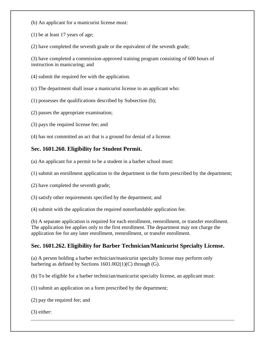- (b) An applicant for a manicurist license must:
- (1) be at least 17 years of age;
- (2) have completed the seventh grade or the equivalent of the seventh grade;

(3) have completed a commission-approved training program consisting of 600 hours of instruction in manicuring; and

- (4) submit the required fee with the application.
- (c) The department shall issue a manicurist license to an applicant who:
- (1) possesses the qualifications described by Subsection (b);
- (2) passes the appropriate examination;
- (3) pays the required license fee; and
- (4) has not committed an act that is a ground for denial of a license.

### **Sec. 1601.260. Eligibility for Student Permit.**

- (a) An applicant for a permit to be a student in a barber school must:
- (1) submit an enrollment application to the department in the form prescribed by the department;
- (2) have completed the seventh grade;
- (3) satisfy other requirements specified by the department; and
- (4) submit with the application the required nonrefundable application fee.

(b) A separate application is required for each enrollment, reenrollment, or transfer enrollment. The application fee applies only to the first enrollment. The department may not charge the application fee for any later enrollment, reenrollment, or transfer enrollment.

### **Sec. 1601.262. Eligibility for Barber Technician/Manicurist Specialty License.**

(a) A person holding a barber technician/manicurist specialty license may perform only barbering as defined by Sections 1601.002(1)(C) through (G).

(b) To be eligible for a barber technician/manicurist specialty license, an applicant must:

(1) submit an application on a form prescribed by the department;

(2) pay the required fee; and

(3) either: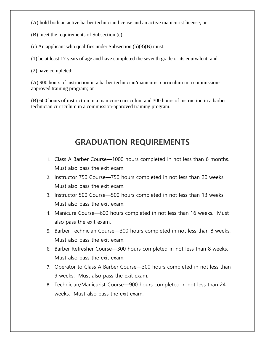- (A) hold both an active barber technician license and an active manicurist license; or
- (B) meet the requirements of Subsection (c).
- (c) An applicant who qualifies under Subsection  $(b)(3)(B)$  must:
- (1) be at least 17 years of age and have completed the seventh grade or its equivalent; and
- (2) have completed:

(A) 900 hours of instruction in a barber technician/manicurist curriculum in a commissionapproved training program; or

(B) 600 hours of instruction in a manicure curriculum and 300 hours of instruction in a barber technician curriculum in a commission-approved training program.

## **GRADUATION REQUIREMENTS**

- 1. Class A Barber Course—1000 hours completed in not less than 6 months. Must also pass the exit exam.
- 2. Instructor 750 Course—750 hours completed in not less than 20 weeks. Must also pass the exit exam.
- 3. Instructor 500 Course—500 hours completed in not less than 13 weeks. Must also pass the exit exam.
- 4. Manicure Course—600 hours completed in not less than 16 weeks. Must also pass the exit exam.
- 5. Barber Technician Course—300 hours completed in not less than 8 weeks. Must also pass the exit exam.
- 6. Barber Refresher Course—300 hours completed in not less than 8 weeks. Must also pass the exit exam.
- 7. Operator to Class A Barber Course—300 hours completed in not less than 9 weeks. Must also pass the exit exam.
- 8. Technician/Manicurist Course—900 hours completed in not less than 24 weeks. Must also pass the exit exam.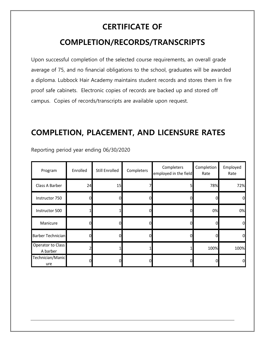# **CERTIFICATE OF COMPLETION/RECORDS/TRANSCRIPTS**

Upon successful completion of the selected course requirements, an overall grade average of 75, and no financial obligations to the school, graduates will be awarded a diploma. Lubbock Hair Academy maintains student records and stores them in fire proof safe cabinets. Electronic copies of records are backed up and stored off campus. Copies of records/transcripts are available upon request.

## **COMPLETION, PLACEMENT, AND LICENSURE RATES**

| Program                       | Enrolled | Still Enrolled | Completers | Completers<br>employed in the field | Completion<br>Rate | Employed<br>Rate |
|-------------------------------|----------|----------------|------------|-------------------------------------|--------------------|------------------|
| Class A Barber                | 24       | 15             |            | 51                                  | 78%                | 72%              |
| Instructor 750                |          |                |            | OI                                  |                    | 0                |
| Instructor 500                |          |                |            | $\Omega$                            | 0%                 | 0%               |
| Manicure                      |          |                |            | OI                                  |                    | $\Omega$         |
| Barber Technician             |          |                |            | 0l                                  |                    | $\Omega$         |
| Operator to Class<br>A barber |          |                |            |                                     | 100%               | 100%             |
| Technician/Manic<br>ure       |          |                |            | 0                                   |                    | $\Omega$         |

Reporting period year ending 06/30/2020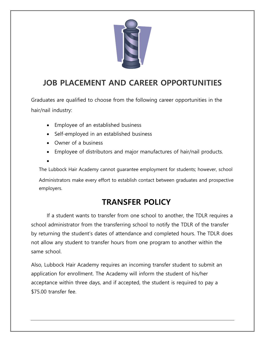

# **JOB PLACEMENT AND CAREER OPPORTUNITIES**

Graduates are qualified to choose from the following career opportunities in the hair/nail industry:

- Employee of an established business
- Self-employed in an established business
- Owner of a business
- Employee of distributors and major manufactures of hair/nail products.

•

The Lubbock Hair Academy cannot guarantee employment for students; however, school

Administrators make every effort to establish contact between graduates and prospective employers.

# **TRANSFER POLICY**

If a student wants to transfer from one school to another, the TDLR requires a school administrator from the transferring school to notify the TDLR of the transfer by returning the student's dates of attendance and completed hours. The TDLR does not allow any student to transfer hours from one program to another within the same school.

Also, Lubbock Hair Academy requires an incoming transfer student to submit an application for enrollment. The Academy will inform the student of his/her acceptance within three days, and if accepted, the student is required to pay a \$75.00 transfer fee.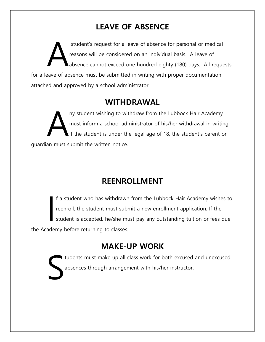# **LEAVE OF ABSENCE**

student's request for a leave of absence for personal or medical reasons will be considered on an individual basis. A leave of absence cannot exceed one hundred eighty (180) days. All requests for a leave of absence must be submitted in writing with proper documentation attached and approved by a school administrator. A

## **WITHDRAWAL**

ny student wishing to withdraw from the Lubbock Hair Academy must inform a school administrator of his/her withdrawal in writing. If the student is under the legal age of 18, the student's parent or guardian must submit the written notice. A

# **REENROLLMENT**

f a student who has withdrawn from the Lubbock Hair Academy wishes to reenroll, the student must submit a new enrollment application. If the student is accepted, he/she must pay any outstanding tuition or fees due the Academy before returning to classes. I

## **MAKE-UP WORK**

I tudents must make up all class work for both excused and unexcused absences through arrangement with his/her instructor. S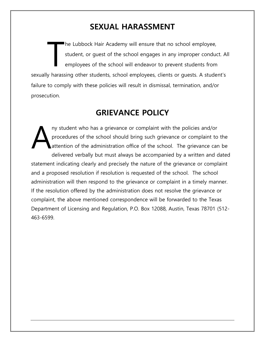## **SEXUAL HARASSMENT**

he Lubbock Hair Academy will ensure that no school employee, student, or guest of the school engages in any improper conduct. All employees of the school will endeavor to prevent students from sexually harassing other students, school employees, clients or guests. A student's failure to comply with these policies will result in dismissal, termination, and/or prosecution. T

## **GRIEVANCE POLICY**

ny student who has a grievance or complaint with the policies and/or procedures of the school should bring such grievance or complaint to the attention of the administration office of the school. The grievance can be delivered verbally but must always be accompanied by a written and dated statement indicating clearly and precisely the nature of the grievance or complaint and a proposed resolution if resolution is requested of the school. The school administration will then respond to the grievance or complaint in a timely manner. If the resolution offered by the administration does not resolve the grievance or complaint, the above mentioned correspondence will be forwarded to the Texas Department of Licensing and Regulation, P.O. Box 12088, Austin, Texas 78701 (512- 463-6599. A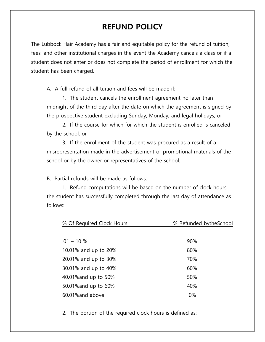## **REFUND POLICY**

The Lubbock Hair Academy has a fair and equitable policy for the refund of tuition, fees, and other institutional charges in the event the Academy cancels a class or if a student does not enter or does not complete the period of enrollment for which the student has been charged.

A. A full refund of all tuition and fees will be made if:

1. The student cancels the enrollment agreement no later than midnight of the third day after the date on which the agreement is signed by the prospective student excluding Sunday, Monday, and legal holidays, or

2. If the course for which for which the student is enrolled is canceled by the school, or

3. If the enrollment of the student was procured as a result of a misrepresentation made in the advertisement or promotional materials of the school or by the owner or representatives of the school.

B. Partial refunds will be made as follows:

1. Refund computations will be based on the number of clock hours the student has successfully completed through the last day of attendance as follows:

| % Of Required Clock Hours | % Refunded bytheSchool |  |  |  |
|---------------------------|------------------------|--|--|--|
|                           |                        |  |  |  |
| $.01 - 10 \%$             | 90%                    |  |  |  |
| 10.01% and up to 20%      | 80%                    |  |  |  |
| 20.01% and up to 30%      | 70%                    |  |  |  |
| 30.01% and up to 40%      | 60%                    |  |  |  |
| 40.01% and up to 50%      | 50%                    |  |  |  |
| 50.01% and up to 60%      | 40%                    |  |  |  |
| 60.01% and above          | 0%                     |  |  |  |
|                           |                        |  |  |  |

2. The portion of the required clock hours is defined as: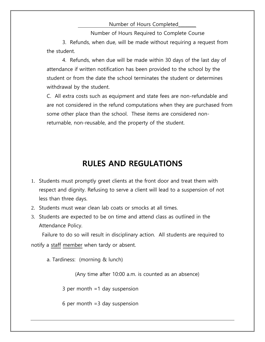### Number of Hours Completed\_\_\_\_\_\_\_\_

Number of Hours Required to Complete Course

3. Refunds, when due, will be made without requiring a request from the student.

4. Refunds, when due will be made within 30 days of the last day of attendance if written notification has been provided to the school by the student or from the date the school terminates the student or determines withdrawal by the student.

C. All extra costs such as equipment and state fees are non-refundable and are not considered in the refund computations when they are purchased from some other place than the school. These items are considered nonreturnable, non-reusable, and the property of the student.

## **RULES AND REGULATIONS**

- 1. Students must promptly greet clients at the front door and treat them with respect and dignity. Refusing to serve a client will lead to a suspension of not less than three days.
- 2. Students must wear clean lab coats or smocks at all times.
- 3. Students are expected to be on time and attend class as outlined in the Attendance Policy.

 Failure to do so will result in disciplinary action. All students are required to notify a staff member when tardy or absent.

a. Tardiness: (morning & lunch)

(Any time after 10:00 a.m. is counted as an absence)

3 per month =1 day suspension

6 per month  $=3$  day suspension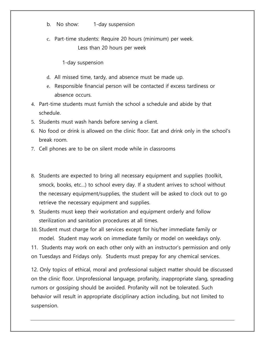- b. No show: 1-day suspension
- c. Part-time students: Require 20 hours (minimum) per week. Less than 20 hours per week
	- 1-day suspension
- d. All missed time, tardy, and absence must be made up.
- e. Responsible financial person will be contacted if excess tardiness or absence occurs.
- 4. Part-time students must furnish the school a schedule and abide by that schedule.
- 5. Students must wash hands before serving a client.
- 6. No food or drink is allowed on the clinic floor. Eat and drink only in the school's break room.
- 7. Cell phones are to be on silent mode while in classrooms
- 8. Students are expected to bring all necessary equipment and supplies (toolkit, smock, books, etc…) to school every day. If a student arrives to school without the necessary equipment/supplies, the student will be asked to clock out to go retrieve the necessary equipment and supplies.
- 9. Students must keep their workstation and equipment orderly and follow sterilization and sanitation procedures at all times.
- 10. Student must charge for all services except for his/her immediate family or model. Student may work on immediate family or model on weekdays only.

11. Students may work on each other only with an instructor's permission and only on Tuesdays and Fridays only. Students must prepay for any chemical services.

12. Only topics of ethical, moral and professional subject matter should be discussed on the clinic floor. Unprofessional language, profanity, inappropriate slang, spreading rumors or gossiping should be avoided. Profanity will not be tolerated. Such behavior will result in appropriate disciplinary action including, but not limited to suspension.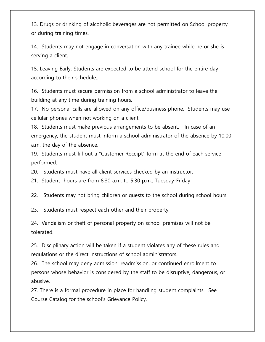13. Drugs or drinking of alcoholic beverages are not permitted on School property or during training times.

14. Students may not engage in conversation with any trainee while he or she is serving a client.

15. Leaving Early: Students are expected to be attend school for the entire day according to their schedule..

16. Students must secure permission from a school administrator to leave the building at any time during training hours.

17. No personal calls are allowed on any office/business phone. Students may use cellular phones when not working on a client.

18. Students must make previous arrangements to be absent. In case of an emergency, the student must inform a school administrator of the absence by 10:00 a.m. the day of the absence.

19. Students must fill out a "Customer Receipt" form at the end of each service performed.

20. Students must have all client services checked by an instructor.

21. Student hours are from 8:30 a.m. to 5:30 p.m., Tuesday-Friday

22. Students may not bring children or guests to the school during school hours.

23. Students must respect each other and their property.

24. Vandalism or theft of personal property on school premises will not be tolerated.

25. Disciplinary action will be taken if a student violates any of these rules and regulations or the direct instructions of school administrators.

26. The school may deny admission, readmission, or continued enrollment to persons whose behavior is considered by the staff to be disruptive, dangerous, or abusive.

27. There is a formal procedure in place for handling student complaints. See Course Catalog for the school's Grievance Policy.